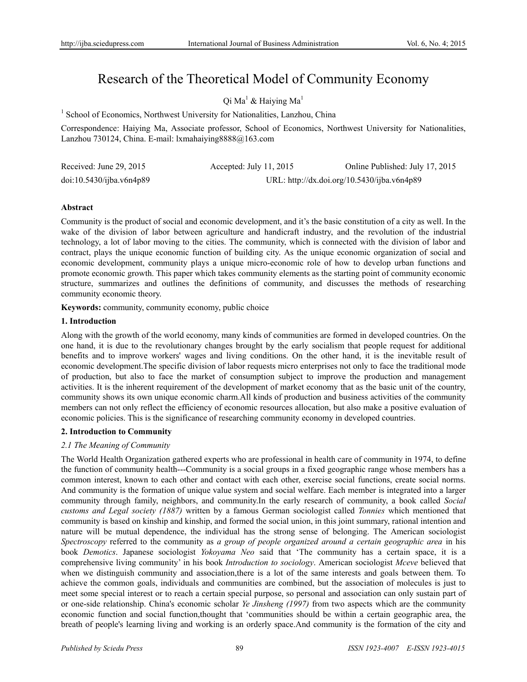# Research of the Theoretical Model of Community Economy

## Qi Ma<sup>1</sup> & Haiying Ma<sup>1</sup>

<sup>1</sup> School of Economics, Northwest University for Nationalities, Lanzhou, China

Correspondence: Haiying Ma, Associate professor, School of Economics, Northwest University for Nationalities, Lanzhou 730124, China. E-mail: lxmahaiying8888@163.com

| Received: June $29, 2015$ | Accepted: July 11, 2015 | Online Published: July 17, 2015             |
|---------------------------|-------------------------|---------------------------------------------|
| doi:10.5430/ijba.v6n4p89  |                         | URL: http://dx.doi.org/10.5430/ijba.v6n4p89 |

### **Abstract**

Community is the product of social and economic development, and it's the basic constitution of a city as well. In the wake of the division of labor between agriculture and handicraft industry, and the revolution of the industrial technology, a lot of labor moving to the cities. The community, which is connected with the division of labor and contract, plays the unique economic function of building city. As the unique economic organization of social and economic development, community plays a unique micro-economic role of how to develop urban functions and promote economic growth. This paper which takes community elements as the starting point of community economic structure, summarizes and outlines the definitions of community, and discusses the methods of researching community economic theory.

**Keywords:** community, community economy, public choice

### **1. Introduction**

Along with the growth of the world economy, many kinds of communities are formed in developed countries. On the one hand, it is due to the revolutionary changes brought by the early socialism that people request for additional benefits and to improve workers' wages and living conditions. On the other hand, it is the inevitable result of economic development.The specific division of labor requests micro enterprises not only to face the traditional mode of production, but also to face the market of consumption subject to improve the production and management activities. It is the inherent requirement of the development of market economy that as the basic unit of the country, community shows its own unique economic charm.All kinds of production and business activities of the community members can not only reflect the efficiency of economic resources allocation, but also make a positive evaluation of economic policies. This is the significance of researching community economy in developed countries.

## **2. Introduction to Community**

## *2.1 The Meaning of Community*

The World Health Organization gathered experts who are professional in health care of community in 1974, to define the function of community health---Community is a social groups in a fixed geographic range whose members has a common interest, known to each other and contact with each other, exercise social functions, create social norms. And community is the formation of unique value system and social welfare. Each member is integrated into a larger community through family, neighbors, and community.In the early research of community, a book called *Social customs and Legal society (1887)* written by a famous German sociologist called *Tonnies* which mentioned that community is based on kinship and kinship, and formed the social union, in this joint summary, rational intention and nature will be mutual dependence, the individual has the strong sense of belonging. The American sociologist *Spectroscopy* referred to the community as *a group of people organized around a certain geographic area* in his book *Demotics*. Japanese sociologist *Yokoyama Neo* said that 'The community has a certain space, it is a comprehensive living community' in his book *Introduction to sociology*. American sociologist *Mceve* believed that when we distinguish community and association,there is a lot of the same interests and goals between them. To achieve the common goals, individuals and communities are combined, but the association of molecules is just to meet some special interest or to reach a certain special purpose, so personal and association can only sustain part of or one-side relationship. China's economic scholar *Ye Jinsheng (1997)* from two aspects which are the community economic function and social function,thought that 'communities should be within a certain geographic area, the breath of people's learning living and working is an orderly space.And community is the formation of the city and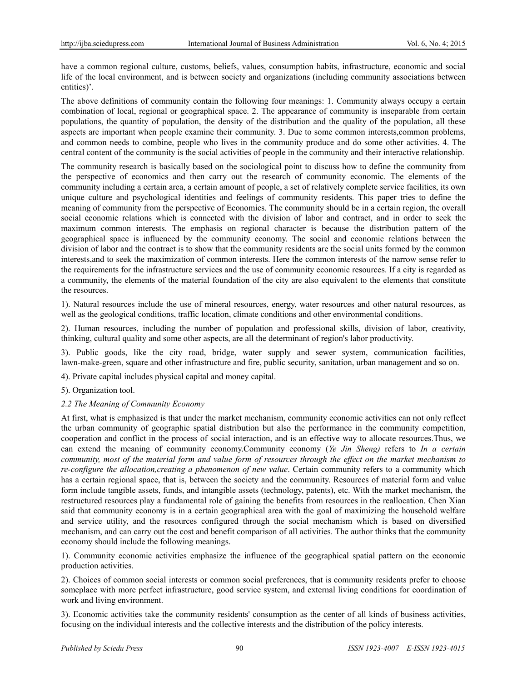have a common regional culture, customs, beliefs, values, consumption habits, infrastructure, economic and social life of the local environment, and is between society and organizations (including community associations between entities)'.

The above definitions of community contain the following four meanings: 1. Community always occupy a certain combination of local, regional or geographical space. 2. The appearance of community is inseparable from certain populations, the quantity of population, the density of the distribution and the quality of the population, all these aspects are important when people examine their community. 3. Due to some common interests,common problems, and common needs to combine, people who lives in the community produce and do some other activities. 4. The central content of the community is the social activities of people in the community and their interactive relationship.

The community research is basically based on the sociological point to discuss how to define the community from the perspective of economics and then carry out the research of community economic. The elements of the community including a certain area, a certain amount of people, a set of relatively complete service facilities, its own unique culture and psychological identities and feelings of community residents. This paper tries to define the meaning of community from the perspective of Economics. The community should be in a certain region, the overall social economic relations which is connected with the division of labor and contract, and in order to seek the maximum common interests. The emphasis on regional character is because the distribution pattern of the geographical space is influenced by the community economy. The social and economic relations between the division of labor and the contract is to show that the community residents are the social units formed by the common interests,and to seek the maximization of common interests. Here the common interests of the narrow sense refer to the requirements for the infrastructure services and the use of community economic resources. If a city is regarded as a community, the elements of the material foundation of the city are also equivalent to the elements that constitute the resources.

1). Natural resources include the use of mineral resources, energy, water resources and other natural resources, as well as the geological conditions, traffic location, climate conditions and other environmental conditions.

2). Human resources, including the number of population and professional skills, division of labor, creativity, thinking, cultural quality and some other aspects, are all the determinant of region's labor productivity.

3). Public goods, like the city road, bridge, water supply and sewer system, communication facilities, lawn-make-green, square and other infrastructure and fire, public security, sanitation, urban management and so on.

4). Private capital includes physical capital and money capital.

5). Organization tool.

### *2.2 The Meaning of Community Economy*

At first, what is emphasized is that under the market mechanism, community economic activities can not only reflect the urban community of geographic spatial distribution but also the performance in the community competition, cooperation and conflict in the process of social interaction, and is an effective way to allocate resources.Thus, we can extend the meaning of community economy.Community economy (*Ye Jin Sheng)* refers to *In a certain community, most of the material form and value form of resources through the effect on the market mechanism to re-configure the allocation,creating a phenomenon of new value*. Certain community refers to a community which has a certain regional space, that is, between the society and the community. Resources of material form and value form include tangible assets, funds, and intangible assets (technology, patents), etc. With the market mechanism, the restructured resources play a fundamental role of gaining the benefits from resources in the reallocation. Chen Xian said that community economy is in a certain geographical area with the goal of maximizing the household welfare and service utility, and the resources configured through the social mechanism which is based on diversified mechanism, and can carry out the cost and benefit comparison of all activities. The author thinks that the community economy should include the following meanings.

1). Community economic activities emphasize the influence of the geographical spatial pattern on the economic production activities.

2). Choices of common social interests or common social preferences, that is community residents prefer to choose someplace with more perfect infrastructure, good service system, and external living conditions for coordination of work and living environment.

3). Economic activities take the community residents' consumption as the center of all kinds of business activities, focusing on the individual interests and the collective interests and the distribution of the policy interests.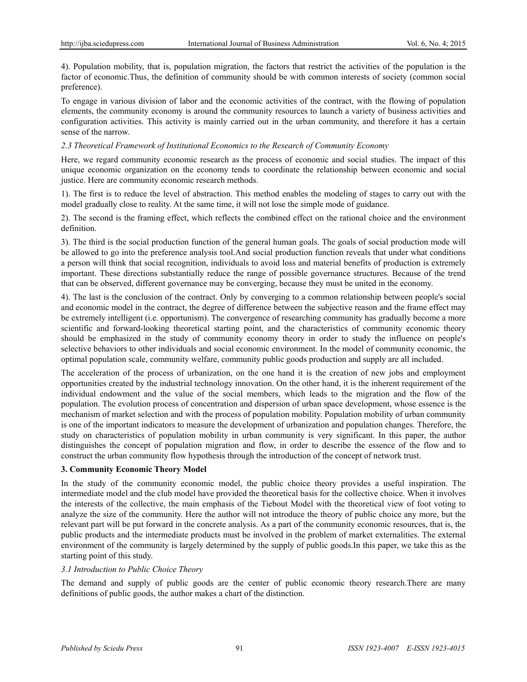4). Population mobility, that is, population migration, the factors that restrict the activities of the population is the factor of economic.Thus, the definition of community should be with common interests of society (common social preference).

To engage in various division of labor and the economic activities of the contract, with the flowing of population elements, the community economy is around the community resources to launch a variety of business activities and configuration activities. This activity is mainly carried out in the urban community, and therefore it has a certain sense of the narrow.

#### *2.3 Theoretical Framework of Institutional Economics to the Research of Community Economy*

Here, we regard community economic research as the process of economic and social studies. The impact of this unique economic organization on the economy tends to coordinate the relationship between economic and social justice. Here are community economic research methods.

1). The first is to reduce the level of abstraction. This method enables the modeling of stages to carry out with the model gradually close to reality. At the same time, it will not lose the simple mode of guidance.

2). The second is the framing effect, which reflects the combined effect on the rational choice and the environment definition.

3). The third is the social production function of the general human goals. The goals of social production mode will be allowed to go into the preference analysis tool.And social production function reveals that under what conditions a person will think that social recognition, individuals to avoid loss and material benefits of production is extremely important. These directions substantially reduce the range of possible governance structures. Because of the trend that can be observed, different governance may be converging, because they must be united in the economy.

4). The last is the conclusion of the contract. Only by converging to a common relationship between people's social and economic model in the contract, the degree of difference between the subjective reason and the frame effect may be extremely intelligent (i.e. opportunism). The convergence of researching community has gradually become a more scientific and forward-looking theoretical starting point, and the characteristics of community economic theory should be emphasized in the study of community economy theory in order to study the influence on people's selective behaviors to other individuals and social economic environment. In the model of community economic, the optimal population scale, community welfare, community public goods production and supply are all included.

The acceleration of the process of urbanization, on the one hand it is the creation of new jobs and employment opportunities created by the industrial technology innovation. On the other hand, it is the inherent requirement of the individual endowment and the value of the social members, which leads to the migration and the flow of the population. The evolution process of concentration and dispersion of urban space development, whose essence is the mechanism of market selection and with the process of population mobility. Population mobility of urban community is one of the important indicators to measure the development of urbanization and population changes. Therefore, the study on characteristics of population mobility in urban community is very significant. In this paper, the author distinguishes the concept of population migration and flow, in order to describe the essence of the flow and to construct the urban community flow hypothesis through the introduction of the concept of network trust.

### **3. Community Economic Theory Model**

In the study of the community economic model, the public choice theory provides a useful inspiration. The intermediate model and the club model have provided the theoretical basis for the collective choice. When it involves the interests of the collective, the main emphasis of the Tiebout Model with the theoretical view of foot voting to analyze the size of the community. Here the author will not introduce the theory of public choice any more, but the relevant part will be put forward in the concrete analysis. As a part of the community economic resources, that is, the public products and the intermediate products must be involved in the problem of market externalities. The external environment of the community is largely determined by the supply of public goods.In this paper, we take this as the starting point of this study.

## *3.1 Introduction to Public Choice Theory*

The demand and supply of public goods are the center of public economic theory research.There are many definitions of public goods, the author makes a chart of the distinction.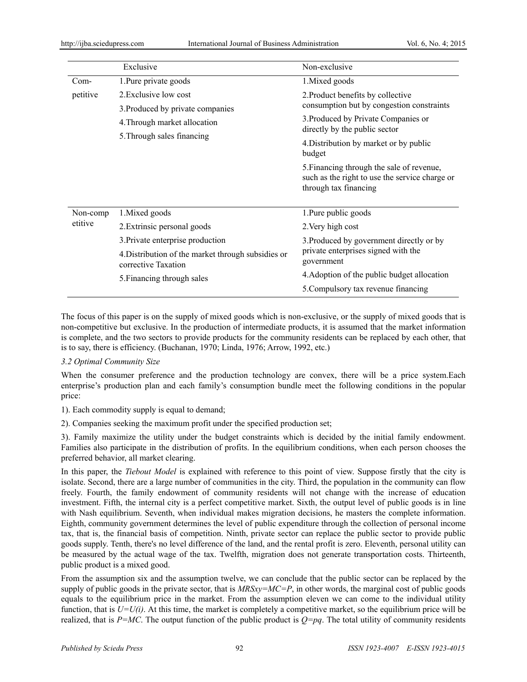|                     | Exclusive                                                                 | Non-exclusive                                                                                                        |  |
|---------------------|---------------------------------------------------------------------------|----------------------------------------------------------------------------------------------------------------------|--|
| Com-                | 1. Pure private goods                                                     | 1. Mixed goods                                                                                                       |  |
| petitive            | 2. Exclusive low cost                                                     | 2. Product benefits by collective<br>consumption but by congestion constraints                                       |  |
|                     | 3. Produced by private companies                                          |                                                                                                                      |  |
|                     | 4. Through market allocation                                              | 3. Produced by Private Companies or<br>directly by the public sector                                                 |  |
|                     | 5. Through sales financing                                                | 4. Distribution by market or by public<br>budget                                                                     |  |
|                     |                                                                           | 5. Financing through the sale of revenue,<br>such as the right to use the service charge or<br>through tax financing |  |
| Non-comp<br>etitive | 1. Mixed goods                                                            | 1. Pure public goods                                                                                                 |  |
|                     | 2. Extrinsic personal goods                                               | 2. Very high cost                                                                                                    |  |
|                     | 3. Private enterprise production                                          | 3. Produced by government directly or by<br>private enterprises signed with the<br>government                        |  |
|                     | 4. Distribution of the market through subsidies or<br>corrective Taxation |                                                                                                                      |  |
|                     | 5. Financing through sales                                                | 4. Adoption of the public budget allocation                                                                          |  |
|                     |                                                                           | 5. Compulsory tax revenue financing                                                                                  |  |

The focus of this paper is on the supply of mixed goods which is non-exclusive, or the supply of mixed goods that is non-competitive but exclusive. In the production of intermediate products, it is assumed that the market information is complete, and the two sectors to provide products for the community residents can be replaced by each other, that is to say, there is efficiency. (Buchanan, 1970; Linda, 1976; Arrow, 1992, etc.)

#### *3.2 Optimal Community Size*

When the consumer preference and the production technology are convex, there will be a price system. Each enterprise's production plan and each family's consumption bundle meet the following conditions in the popular price:

1). Each commodity supply is equal to demand;

2). Companies seeking the maximum profit under the specified production set;

3). Family maximize the utility under the budget constraints which is decided by the initial family endowment. Families also participate in the distribution of profits. In the equilibrium conditions, when each person chooses the preferred behavior, all market clearing.

In this paper, the *Tiebout Model* is explained with reference to this point of view. Suppose firstly that the city is isolate. Second, there are a large number of communities in the city. Third, the population in the community can flow freely. Fourth, the family endowment of community residents will not change with the increase of education investment. Fifth, the internal city is a perfect competitive market. Sixth, the output level of public goods is in line with Nash equilibrium. Seventh, when individual makes migration decisions, he masters the complete information. Eighth, community government determines the level of public expenditure through the collection of personal income tax, that is, the financial basis of competition. Ninth, private sector can replace the public sector to provide public goods supply. Tenth, there's no level difference of the land, and the rental profit is zero. Eleventh, personal utility can be measured by the actual wage of the tax. Twelfth, migration does not generate transportation costs. Thirteenth, public product is a mixed good.

From the assumption six and the assumption twelve, we can conclude that the public sector can be replaced by the supply of public goods in the private sector, that is  $MRSxy=MC=P$ , in other words, the marginal cost of public goods equals to the equilibrium price in the market. From the assumption eleven we can come to the individual utility function, that is  $U=U(i)$ . At this time, the market is completely a competitive market, so the equilibrium price will be realized, that is *P=MC*. The output function of the public product is  $Q=pq$ . The total utility of community residents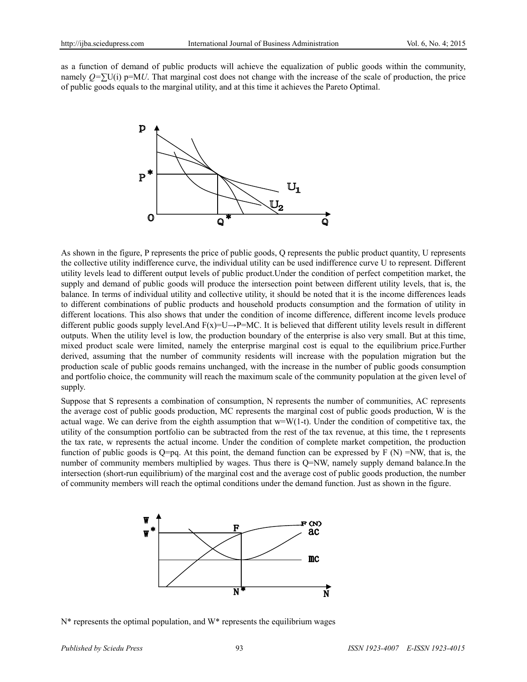as a function of demand of public products will achieve the equalization of public goods within the community, namely *Q*=∑U(i) p=M*U*. That marginal cost does not change with the increase of the scale of production, the price of public goods equals to the marginal utility, and at this time it achieves the Pareto Optimal.



As shown in the figure, P represents the price of public goods, Q represents the public product quantity, U represents the collective utility indifference curve, the individual utility can be used indifference curve U to represent. Different utility levels lead to different output levels of public product.Under the condition of perfect competition market, the supply and demand of public goods will produce the intersection point between different utility levels, that is, the balance. In terms of individual utility and collective utility, it should be noted that it is the income differences leads to different combinations of public products and household products consumption and the formation of utility in different locations. This also shows that under the condition of income difference, different income levels produce different public goods supply level.And  $F(x)=U\rightarrow P=MC$ . It is believed that different utility levels result in different outputs. When the utility level is low, the production boundary of the enterprise is also very small. But at this time, mixed product scale were limited, namely the enterprise marginal cost is equal to the equilibrium price.Further derived, assuming that the number of community residents will increase with the population migration but the production scale of public goods remains unchanged, with the increase in the number of public goods consumption and portfolio choice, the community will reach the maximum scale of the community population at the given level of supply.

Suppose that S represents a combination of consumption, N represents the number of communities, AC represents the average cost of public goods production, MC represents the marginal cost of public goods production, W is the actual wage. We can derive from the eighth assumption that  $w=W(1-t)$ . Under the condition of competitive tax, the utility of the consumption portfolio can be subtracted from the rest of the tax revenue, at this time, the t represents the tax rate, w represents the actual income. Under the condition of complete market competition, the production function of public goods is  $Q=pq$ . At this point, the demand function can be expressed by F (N) =NW, that is, the number of community members multiplied by wages. Thus there is Q=NW, namely supply demand balance.In the intersection (short-run equilibrium) of the marginal cost and the average cost of public goods production, the number of community members will reach the optimal conditions under the demand function. Just as shown in the figure.



 $N^*$  represents the optimal population, and  $W^*$  represents the equilibrium wages